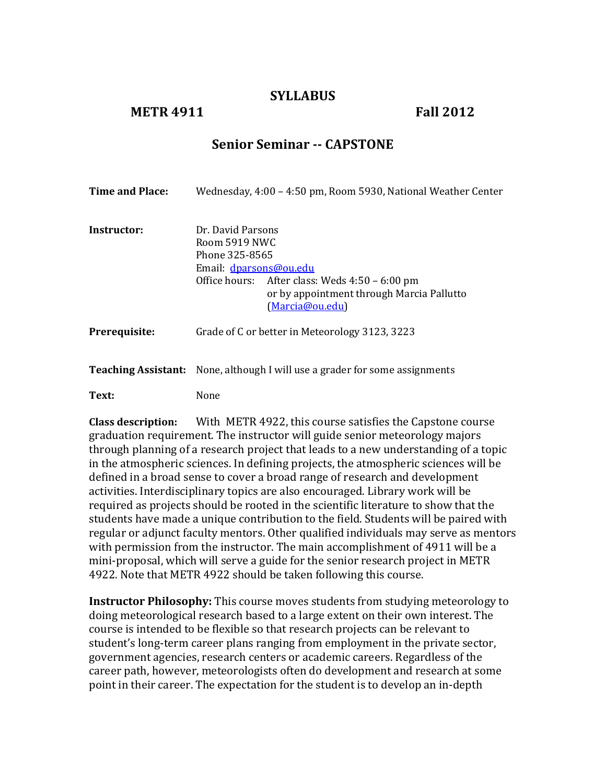#### **SYLLABUS**

#### **METR 4911 Fall 2012**

## **Senior Seminar -- CAPSTONE**

| Time and Place: | Wednesday, 4:00 – 4:50 pm, Room 5930, National Weather Center                                                                                                                                    |  |
|-----------------|--------------------------------------------------------------------------------------------------------------------------------------------------------------------------------------------------|--|
| Instructor:     | Dr. David Parsons<br>Room 5919 NWC<br>Phone 325-8565<br>Email: dparsons@ou.edu<br>Office hours: After class: Weds 4:50 – 6:00 pm<br>or by appointment through Marcia Pallutto<br>(Marcia@ou.edu) |  |
| Prerequisite:   | Grade of C or better in Meteorology 3123, 3223                                                                                                                                                   |  |
|                 | <b>Teaching Assistant:</b> None, although I will use a grader for some assignments                                                                                                               |  |

**Text:** None

**Class description:** With METR 4922, this course satisfies the Capstone course graduation requirement. The instructor will guide senior meteorology majors through planning of a research project that leads to a new understanding of a topic in the atmospheric sciences. In defining projects, the atmospheric sciences will be defined in a broad sense to cover a broad range of research and development activities. Interdisciplinary topics are also encouraged. Library work will be required as projects should be rooted in the scientific literature to show that the students have made a unique contribution to the field. Students will be paired with regular or adjunct faculty mentors. Other qualified individuals may serve as mentors with permission from the instructor. The main accomplishment of 4911 will be a mini-proposal, which will serve a guide for the senior research project in METR 4922. Note that METR 4922 should be taken following this course.

**Instructor Philosophy:** This course moves students from studying meteorology to doing meteorological research based to a large extent on their own interest. The course is intended to be flexible so that research projects can be relevant to student's long-term career plans ranging from employment in the private sector, government agencies, research centers or academic careers. Regardless of the career path, however, meteorologists often do development and research at some point in their career. The expectation for the student is to develop an in-depth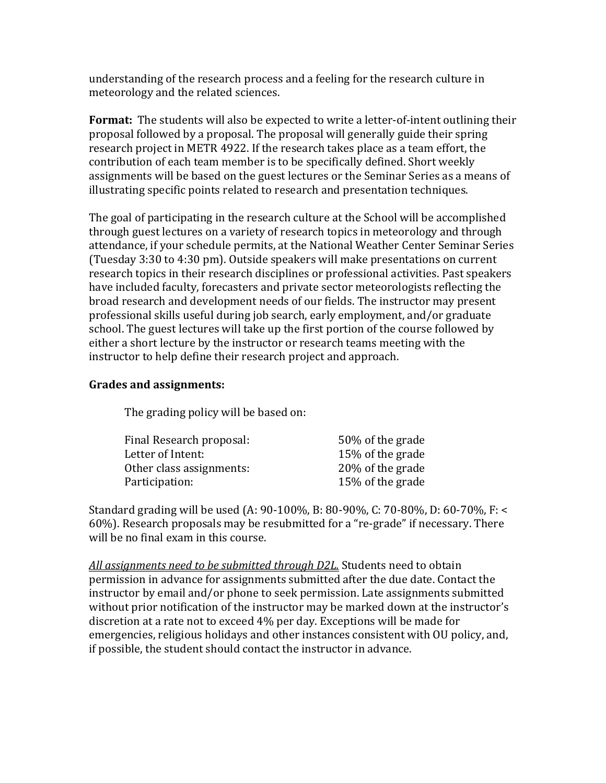understanding of the research process and a feeling for the research culture in meteorology and the related sciences.

Format: The students will also be expected to write a letter-of-intent outlining their proposal followed by a proposal. The proposal will generally guide their spring research project in METR 4922. If the research takes place as a team effort, the contribution of each team member is to be specifically defined. Short weekly assignments will be based on the guest lectures or the Seminar Series as a means of illustrating specific points related to research and presentation techniques.

The goal of participating in the research culture at the School will be accomplished through guest lectures on a variety of research topics in meteorology and through attendance, if your schedule permits, at the National Weather Center Seminar Series (Tuesday 3:30 to 4:30 pm). Outside speakers will make presentations on current research topics in their research disciplines or professional activities. Past speakers have included faculty, forecasters and private sector meteorologists reflecting the broad research and development needs of our fields. The instructor may present professional skills useful during job search, early employment, and/or graduate school. The guest lectures will take up the first portion of the course followed by either a short lecture by the instructor or research teams meeting with the instructor to help define their research project and approach.

#### **Grades and assignments:**

The grading policy will be based on:

| Final Research proposal: | 50% of the grade  |
|--------------------------|-------------------|
| Letter of Intent:        | 15\% of the grade |
| Other class assignments: | 20% of the grade  |
| Participation:           | 15% of the grade  |

Standard grading will be used (A: 90-100%, B: 80-90%, C: 70-80%, D: 60-70%, F: < 60%). Research proposals may be resubmitted for a "re-grade" if necessary. There will be no final exam in this course.

All assignments need to be submitted through D2L. Students need to obtain permission in advance for assignments submitted after the due date. Contact the instructor by email and/or phone to seek permission. Late assignments submitted without prior notification of the instructor may be marked down at the instructor's discretion at a rate not to exceed 4% per day. Exceptions will be made for emergencies, religious holidays and other instances consistent with OU policy, and, if possible, the student should contact the instructor in advance.